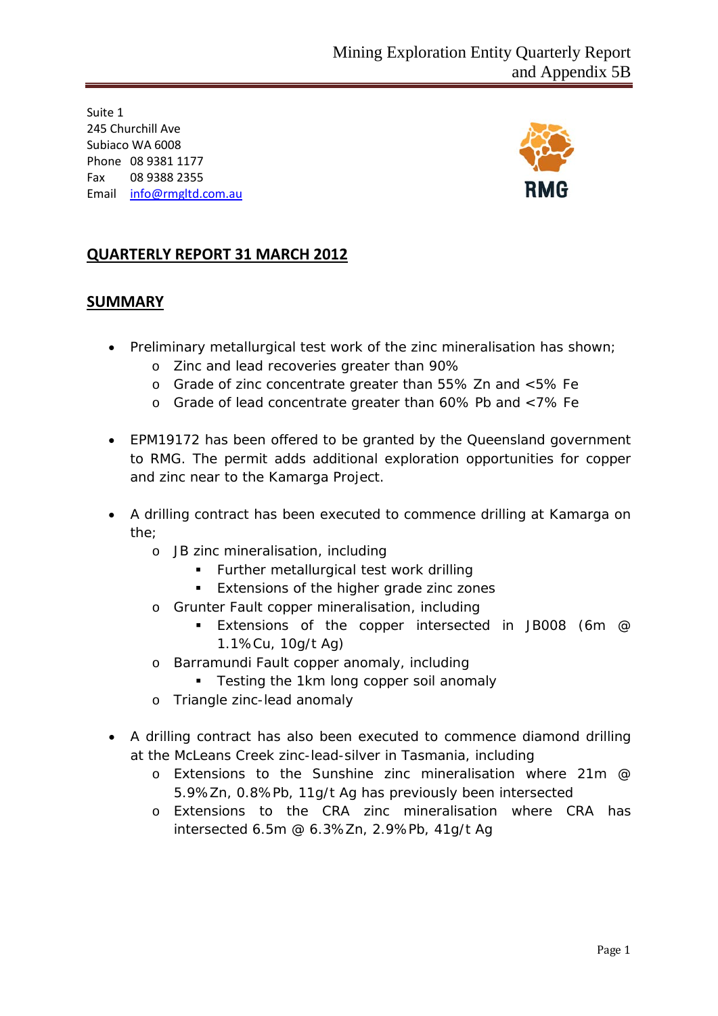Suite 1 245 Churchill Ave Subiaco WA 6008 Phone 08 9381 1177 Fax 08 9388 2355 Email [info@rmgltd.com.au](mailto:info@rmgltd.com.au)



## **QUARTERLY REPORT 31 MARCH 2012**

#### **SUMMARY**

- Preliminary metallurgical test work of the zinc mineralisation has shown;
	- o Zinc and lead recoveries greater than 90%
	- o Grade of zinc concentrate greater than 55% Zn and <5% Fe
	- o Grade of lead concentrate greater than 60% Pb and <7% Fe
- EPM19172 has been offered to be granted by the Queensland government to RMG. The permit adds additional exploration opportunities for copper and zinc near to the Kamarga Project.
- A drilling contract has been executed to commence drilling at Kamarga on the;
	- o JB zinc mineralisation, including
		- **Further metallurgical test work drilling**
		- **Extensions of the higher grade zinc zones**
	- o Grunter Fault copper mineralisation, including
		- Extensions of the copper intersected in JB008 (6m @ 1.1%Cu, 10g/t Ag)
	- o Barramundi Fault copper anomaly, including
		- **Testing the 1km long copper soil anomaly**
	- o Triangle zinc-lead anomaly
- A drilling contract has also been executed to commence diamond drilling at the McLeans Creek zinc-lead-silver in Tasmania, including
	- o Extensions to the Sunshine zinc mineralisation where 21m @ 5.9%Zn, 0.8%Pb, 11g/t Ag has previously been intersected
	- o Extensions to the CRA zinc mineralisation where CRA has intersected 6.5m @ 6.3%Zn, 2.9%Pb, 41g/t Ag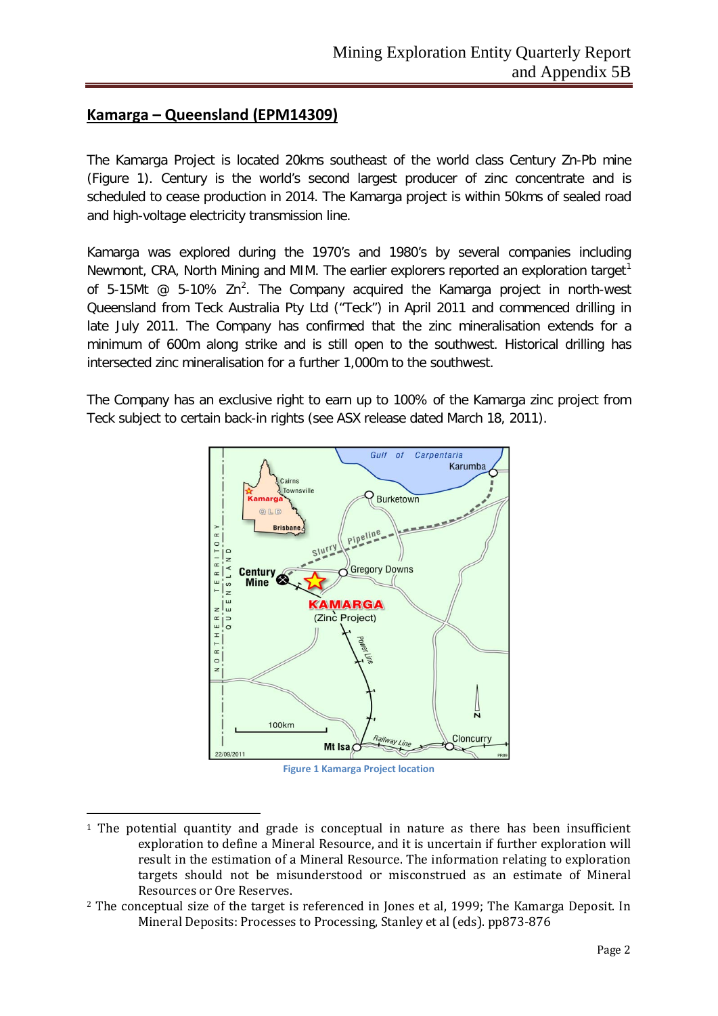### **Kamarga – Queensland (EPM14309)**

1

The Kamarga Project is located 20kms southeast of the world class Century Zn-Pb mine (Figure 1). Century is the world's second largest producer of zinc concentrate and is scheduled to cease production in 2014. The Kamarga project is within 50kms of sealed road and high-voltage electricity transmission line.

Kamarga was explored during the 1970's and 1980's by several companies including Newmont, CRA, North Mining and MIM. The earlier explorers reported an exploration target<sup>[1](#page-1-0)</sup> of 5-15Mt  $\omega$  5-10% Zn<sup>[2](#page-1-1)</sup>. The Company acquired the Kamarga project in north-west Queensland from Teck Australia Pty Ltd ("Teck") in April 2011 and commenced drilling in late July 2011. The Company has confirmed that the zinc mineralisation extends for a minimum of 600m along strike and is still open to the southwest. Historical drilling has intersected zinc mineralisation for a further 1,000m to the southwest.

The Company has an exclusive right to earn up to 100% of the Kamarga zinc project from Teck subject to certain back-in rights (see ASX release dated March 18, 2011).



**Figure 1 Kamarga Project location**

<span id="page-1-0"></span><sup>&</sup>lt;sup>1</sup> The potential quantity and grade is conceptual in nature as there has been insufficient exploration to define a Mineral Resource, and it is uncertain if further exploration will result in the estimation of a Mineral Resource. The information relating to exploration targets should not be misunderstood or misconstrued as an estimate of Mineral Resources or Ore Reserves.

<span id="page-1-1"></span><sup>&</sup>lt;sup>2</sup> The conceptual size of the target is referenced in Jones et al, 1999: The Kamarga Deposit. In Mineral Deposits: Processes to Processing, Stanley et al (eds). pp873-876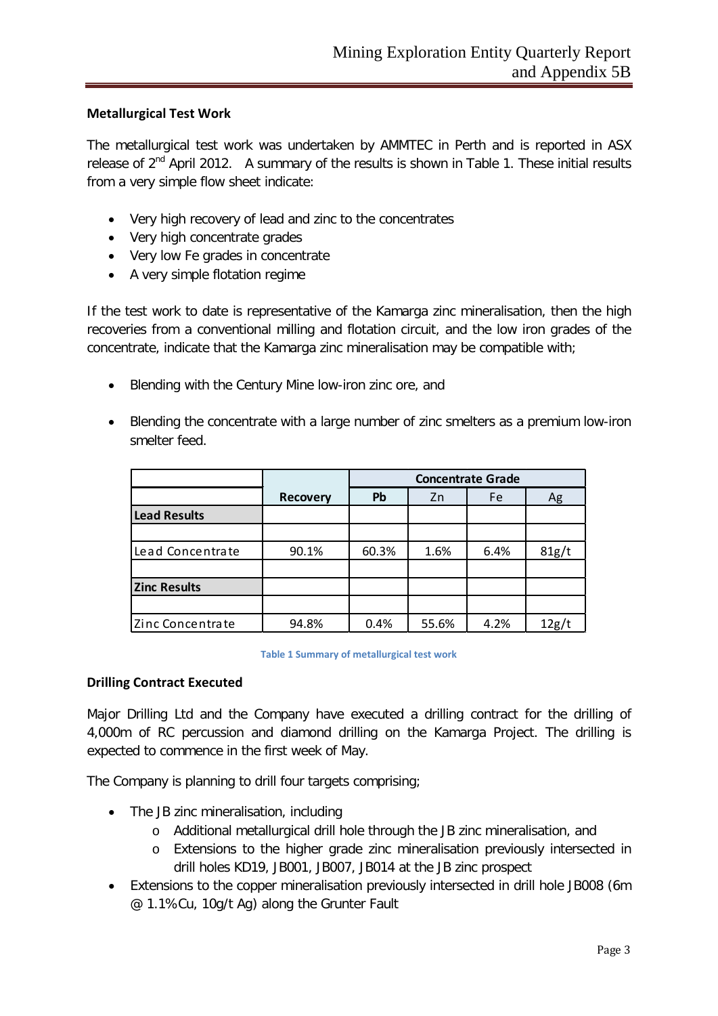#### **Metallurgical Test Work**

The metallurgical test work was undertaken by AMMTEC in Perth and is reported in ASX release of  $2^{nd}$  April 2012. A summary of the results is shown in Table 1. These initial results from a very simple flow sheet indicate:

- Very high recovery of lead and zinc to the concentrates
- Very high concentrate grades
- Very low Fe grades in concentrate
- A very simple flotation regime

If the test work to date is representative of the Kamarga zinc mineralisation, then the high recoveries from a conventional milling and flotation circuit, and the low iron grades of the concentrate, indicate that the Kamarga zinc mineralisation may be compatible with;

- Blending with the Century Mine low-iron zinc ore, and
- Blending the concentrate with a large number of zinc smelters as a premium low-iron smelter feed.

|                     |                 | <b>Concentrate Grade</b> |       |      |       |
|---------------------|-----------------|--------------------------|-------|------|-------|
|                     | <b>Recovery</b> | <b>Pb</b>                | Zn    | Fe   | Ag    |
| <b>Lead Results</b> |                 |                          |       |      |       |
|                     |                 |                          |       |      |       |
| Lead Concentrate    | 90.1%           | 60.3%                    | 1.6%  | 6.4% | 81g/t |
|                     |                 |                          |       |      |       |
| <b>Zinc Results</b> |                 |                          |       |      |       |
|                     |                 |                          |       |      |       |
| Zinc Concentrate    | 94.8%           | 0.4%                     | 55.6% | 4.2% | 12g/t |

#### **Table 1 Summary of metallurgical test work**

#### **Drilling Contract Executed**

Major Drilling Ltd and the Company have executed a drilling contract for the drilling of 4,000m of RC percussion and diamond drilling on the Kamarga Project. The drilling is expected to commence in the first week of May.

The Company is planning to drill four targets comprising;

- The JB zinc mineralisation, including
	- o Additional metallurgical drill hole through the JB zinc mineralisation, and
	- o Extensions to the higher grade zinc mineralisation previously intersected in drill holes KD19, JB001, JB007, JB014 at the JB zinc prospect
- Extensions to the copper mineralisation previously intersected in drill hole JB008 (6m @ 1.1%Cu, 10g/t Ag) along the Grunter Fault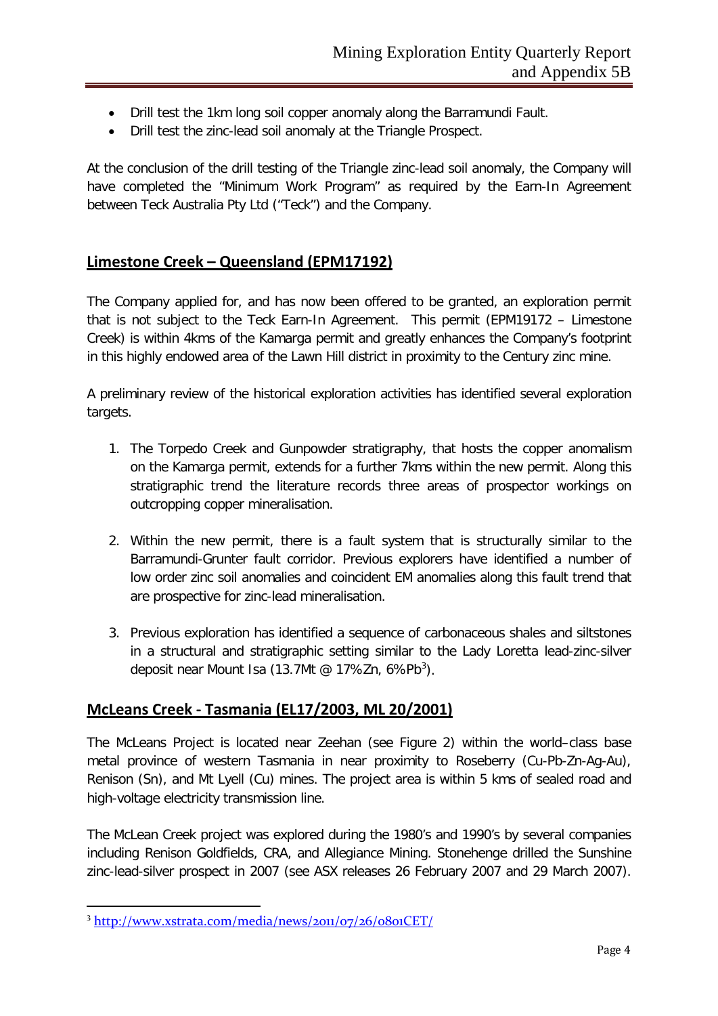- Drill test the 1km long soil copper anomaly along the Barramundi Fault.
- Drill test the zinc-lead soil anomaly at the Triangle Prospect.

At the conclusion of the drill testing of the Triangle zinc-lead soil anomaly, the Company will have completed the "Minimum Work Program" as required by the Earn-In Agreement between Teck Australia Pty Ltd ("Teck") and the Company.

#### **Limestone Creek – Queensland (EPM17192)**

The Company applied for, and has now been offered to be granted, an exploration permit that is not subject to the Teck Earn-In Agreement. This permit (EPM19172 – Limestone Creek) is within 4kms of the Kamarga permit and greatly enhances the Company's footprint in this highly endowed area of the Lawn Hill district in proximity to the Century zinc mine.

A preliminary review of the historical exploration activities has identified several exploration targets.

- 1. The Torpedo Creek and Gunpowder stratigraphy, that hosts the copper anomalism on the Kamarga permit, extends for a further 7kms within the new permit. Along this stratigraphic trend the literature records three areas of prospector workings on outcropping copper mineralisation.
- 2. Within the new permit, there is a fault system that is structurally similar to the Barramundi-Grunter fault corridor. Previous explorers have identified a number of low order zinc soil anomalies and coincident EM anomalies along this fault trend that are prospective for zinc-lead mineralisation.
- 3. Previous exploration has identified a sequence of carbonaceous shales and siltstones in a structural and stratigraphic setting similar to the Lady Loretta lead-zinc-silver deposit near Mount Isa (1[3](#page-3-0).7Mt @ 17%Zn, 6%Pb<sup>3</sup>).

#### **McLeans Creek - Tasmania (EL17/2003, ML 20/2001)**

The McLeans Project is located near Zeehan (see Figure 2) within the world–class base metal province of western Tasmania in near proximity to Roseberry (Cu-Pb-Zn-Ag-Au), Renison (Sn), and Mt Lyell (Cu) mines. The project area is within 5 kms of sealed road and high-voltage electricity transmission line.

The McLean Creek project was explored during the 1980's and 1990's by several companies including Renison Goldfields, CRA, and Allegiance Mining. Stonehenge drilled the Sunshine zinc-lead-silver prospect in 2007 (see ASX releases 26 February 2007 and 29 March 2007).

**.** 

<span id="page-3-0"></span><sup>3</sup> <http://www.xstrata.com/media/news/2011/07/26/0801CET/>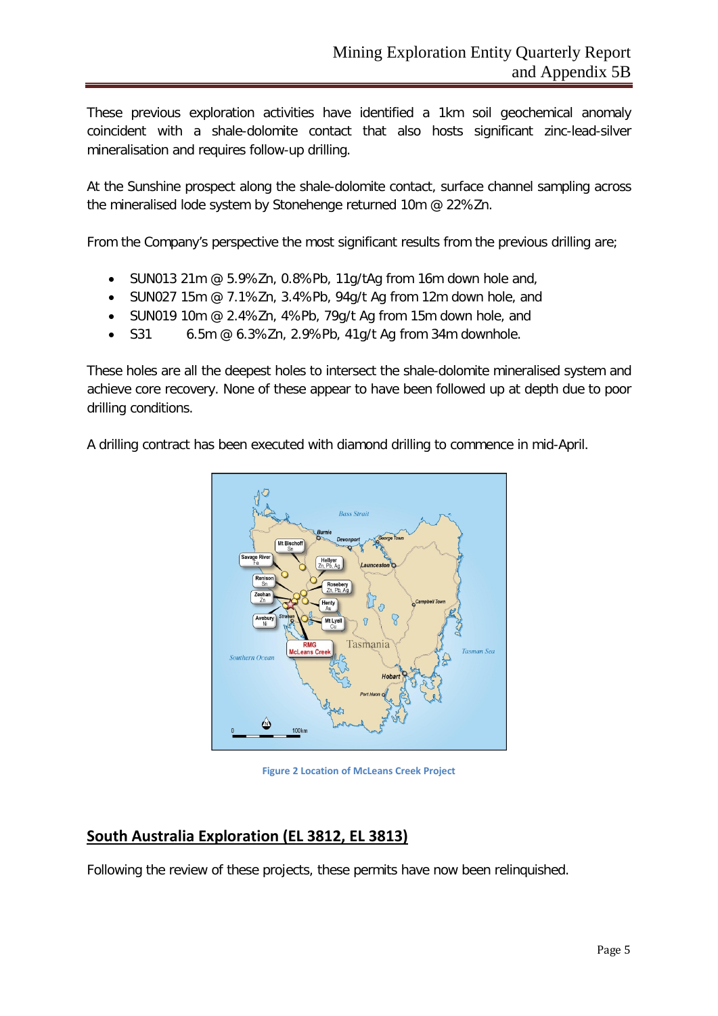These previous exploration activities have identified a 1km soil geochemical anomaly coincident with a shale-dolomite contact that also hosts significant zinc-lead-silver mineralisation and requires follow-up drilling.

At the Sunshine prospect along the shale-dolomite contact, surface channel sampling across the mineralised lode system by Stonehenge returned 10m @ 22%Zn.

From the Company's perspective the most significant results from the previous drilling are;

- SUN013 21m @ 5.9%Zn, 0.8%Pb, 11g/tAg from 16m down hole and,
- SUN027 15m @ 7.1%Zn, 3.4%Pb, 94g/t Ag from 12m down hole, and
- SUN019 10m @ 2.4%Zn, 4%Pb, 79g/t Ag from 15m down hole, and
- S31  $6.5m \t{@} 6.3\t{%} 2n$ , 2.9%Pb, 41g/t Ag from 34m downhole.

These holes are all the deepest holes to intersect the shale-dolomite mineralised system and achieve core recovery. None of these appear to have been followed up at depth due to poor drilling conditions.

A drilling contract has been executed with diamond drilling to commence in mid-April.



**Figure 2 Location of McLeans Creek Project**

#### **South Australia Exploration (EL 3812, EL 3813)**

Following the review of these projects, these permits have now been relinquished.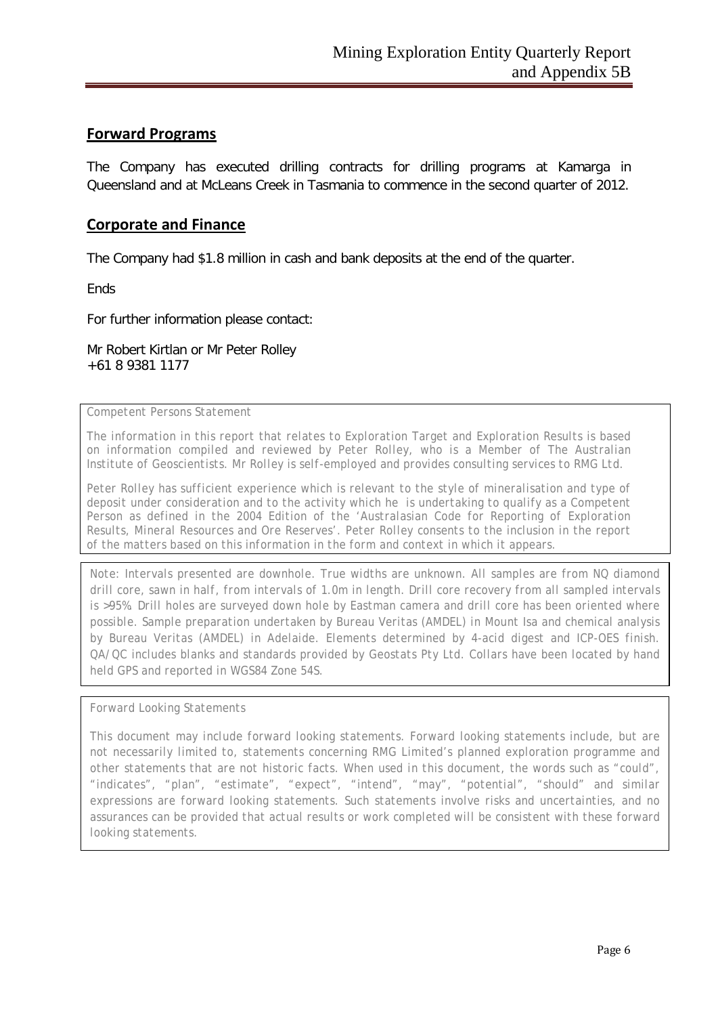#### **Forward Programs**

The Company has executed drilling contracts for drilling programs at Kamarga in Queensland and at McLeans Creek in Tasmania to commence in the second quarter of 2012.

#### **Corporate and Finance**

The Company had \$1.8 million in cash and bank deposits at the end of the quarter.

**Ends** 

For further information please contact:

Mr Robert Kirtlan or Mr Peter Rolley +61 8 9381 1177

*Competent Persons Statement*

*The information in this report that relates to Exploration Target and Exploration Results is based on information compiled and reviewed by Peter Rolley, who is a Member of The Australian Institute of Geoscientists. Mr Rolley is self-employed and provides consulting services to RMG Ltd.*

*Peter Rolley has sufficient experience which is relevant to the style of mineralisation and type of deposit under consideration and to the activity which he is undertaking to qualify as a Competent Person as defined in the 2004 Edition of the 'Australasian Code for Reporting of Exploration Results, Mineral Resources and Ore Reserves'. Peter Rolley consents to the inclusion in the report of the matters based on this information in the form and context in which it appears.*

*Note: Intervals presented are downhole. True widths are unknown. All samples are from NQ diamond drill core, sawn in half, from intervals of 1.0m in length. Drill core recovery from all sampled intervals is >95%. Drill holes are surveyed down hole by Eastman camera and drill core has been oriented where possible. Sample preparation undertaken by Bureau Veritas (AMDEL) in Mount Isa and chemical analysis by Bureau Veritas (AMDEL) in Adelaide. Elements determined by 4-acid digest and ICP-OES finish. QA/QC includes blanks and standards provided by Geostats Pty Ltd. Collars have been located by hand held GPS and reported in WGS84 Zone 54S.*

*Forward Looking Statements*

*This document may include forward looking statements. Forward looking statements include, but are not necessarily limited to, statements concerning RMG Limited's planned exploration programme and other statements that are not historic facts. When used in this document, the words such as "could", "indicates", "plan", "estimate", "expect", "intend", "may", "potential", "should" and similar expressions are forward looking statements. Such statements involve risks and uncertainties, and no assurances can be provided that actual results or work completed will be consistent with these forward looking statements.*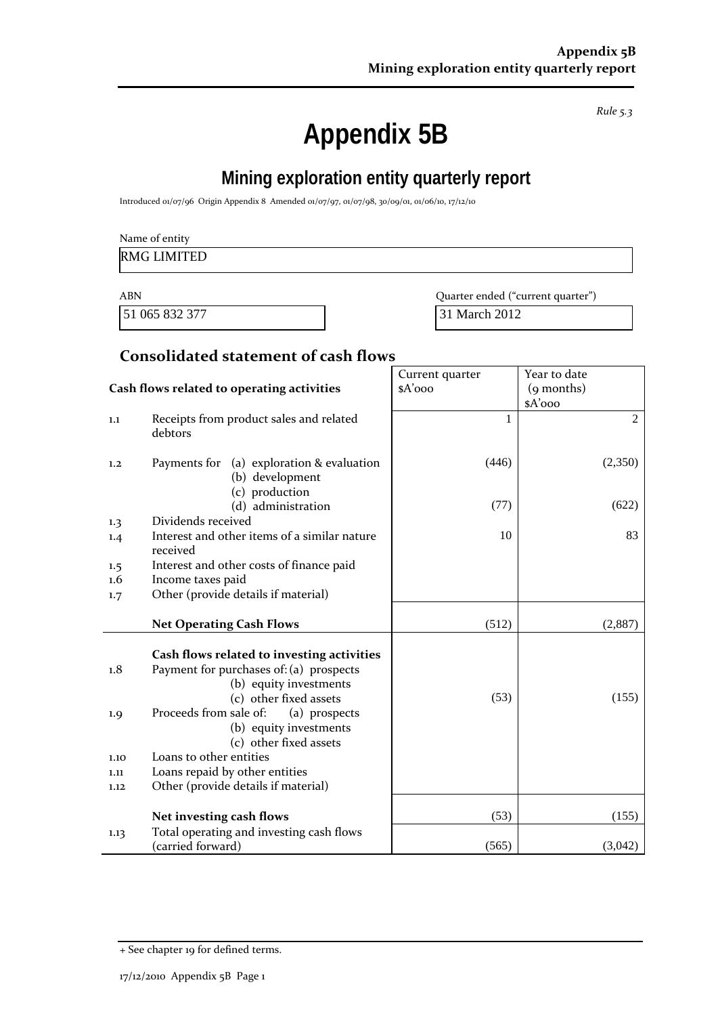*Rule 5.3*

# **Appendix 5B**

# **Mining exploration entity quarterly report**

Introduced 01/07/96 Origin Appendix 8 Amended 01/07/97, 01/07/98, 30/09/01, 01/06/10, 17/12/10

| Name of entity |                                   |
|----------------|-----------------------------------|
| RMG LIMITED    |                                   |
| <b>ABN</b>     | Quarter ended ("current quarter") |

51 065 832 377 31 March 2012

## **Consolidated statement of cash flows**

|                                            |                                                                                                                                                                                                                                                                                                                                              | Current quarter | Year to date   |
|--------------------------------------------|----------------------------------------------------------------------------------------------------------------------------------------------------------------------------------------------------------------------------------------------------------------------------------------------------------------------------------------------|-----------------|----------------|
| Cash flows related to operating activities |                                                                                                                                                                                                                                                                                                                                              | $A'$ ooo        | (9 months)     |
|                                            |                                                                                                                                                                                                                                                                                                                                              |                 | \$A'ooo        |
| 1.1                                        | Receipts from product sales and related<br>debtors                                                                                                                                                                                                                                                                                           | 1               | $\overline{2}$ |
| 1,2                                        | Payments for (a) exploration & evaluation<br>(b) development<br>(c) production                                                                                                                                                                                                                                                               | (446)           | (2,350)        |
|                                            | (d) administration                                                                                                                                                                                                                                                                                                                           | (77)            | (622)          |
| $1.3\phantom{0}$                           | Dividends received                                                                                                                                                                                                                                                                                                                           |                 |                |
| 1.4                                        | Interest and other items of a similar nature<br>received                                                                                                                                                                                                                                                                                     | 10              | 83             |
| 1.5                                        | Interest and other costs of finance paid                                                                                                                                                                                                                                                                                                     |                 |                |
| 1.6                                        | Income taxes paid                                                                                                                                                                                                                                                                                                                            |                 |                |
| 1.7                                        | Other (provide details if material)                                                                                                                                                                                                                                                                                                          |                 |                |
|                                            |                                                                                                                                                                                                                                                                                                                                              |                 |                |
|                                            | <b>Net Operating Cash Flows</b>                                                                                                                                                                                                                                                                                                              | (512)           | (2,887)        |
| 1.8<br>1.9<br>1.10<br>1.11<br>1.12         | Cash flows related to investing activities<br>Payment for purchases of: (a) prospects<br>(b) equity investments<br>(c) other fixed assets<br>Proceeds from sale of:<br>(a) prospects<br>(b) equity investments<br>(c) other fixed assets<br>Loans to other entities<br>Loans repaid by other entities<br>Other (provide details if material) | (53)            | (155)          |
|                                            | Net investing cash flows                                                                                                                                                                                                                                                                                                                     | (53)            | (155)          |
| 1.13                                       | Total operating and investing cash flows<br>(carried forward)                                                                                                                                                                                                                                                                                | (565)           | (3,042)        |

<sup>+</sup> See chapter 19 for defined terms.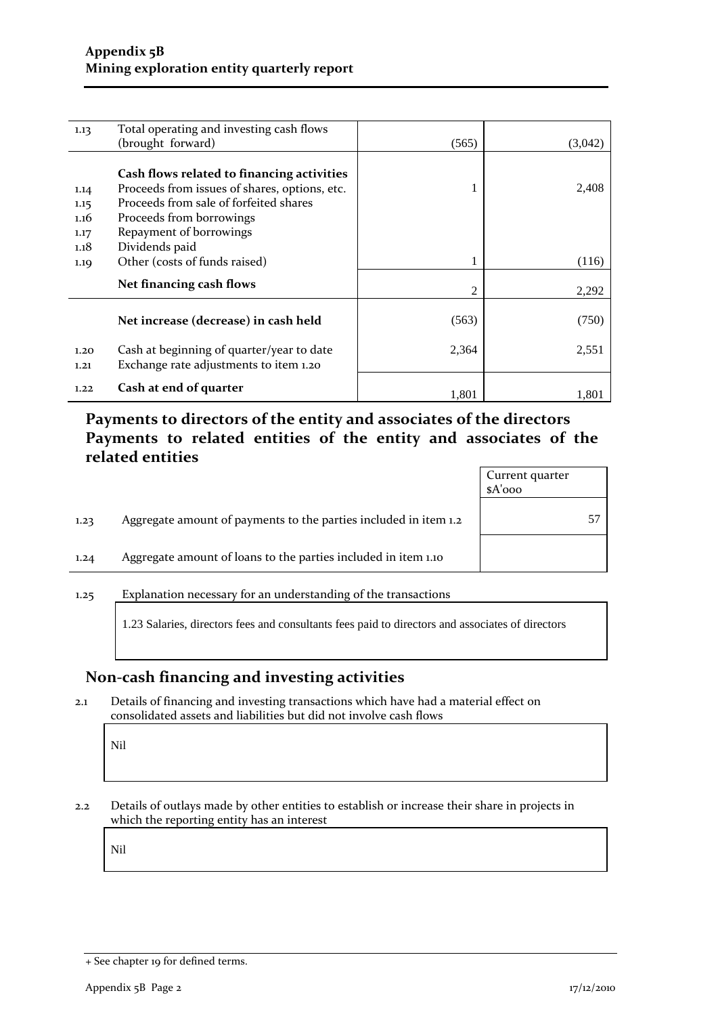| 1.13 | Total operating and investing cash flows      |       |         |
|------|-----------------------------------------------|-------|---------|
|      | (brought forward)                             | (565) | (3,042) |
|      |                                               |       |         |
|      | Cash flows related to financing activities    |       |         |
| 1.14 | Proceeds from issues of shares, options, etc. |       | 2,408   |
| 1.15 | Proceeds from sale of forfeited shares        |       |         |
| 1.16 | Proceeds from borrowings                      |       |         |
| 1.17 | Repayment of borrowings                       |       |         |
| 1.18 | Dividends paid                                |       |         |
| 1.19 | Other (costs of funds raised)                 | 1     | (116)   |
|      | Net financing cash flows                      |       |         |
|      |                                               | 2     | 2,292   |
|      |                                               |       |         |
|      | Net increase (decrease) in cash held          | (563) | (750)   |
|      |                                               |       |         |
| 1.20 | Cash at beginning of quarter/year to date     | 2,364 | 2,551   |
| 1.21 | Exchange rate adjustments to item 1.20        |       |         |
|      |                                               |       |         |
| 1.22 | Cash at end of quarter                        | 1,801 | 1,801   |

# **Payments to directors of the entity and associates of the directors Payments to related entities of the entity and associates of the related entities**

|      |                                                                  | Current quarter<br>$A'$ ooo |  |
|------|------------------------------------------------------------------|-----------------------------|--|
| 1.23 | Aggregate amount of payments to the parties included in item 1.2 |                             |  |
| 1.24 | Aggregate amount of loans to the parties included in item 1.10   |                             |  |
| 1.25 | Explanation necessary for an understanding of the transactions   |                             |  |

1.23 Salaries, directors fees and consultants fees paid to directors and associates of directors

## **Non-cash financing and investing activities**

2.1 Details of financing and investing transactions which have had a material effect on consolidated assets and liabilities but did not involve cash flows

Nil

2.2 Details of outlays made by other entities to establish or increase their share in projects in which the reporting entity has an interest

Nil

<sup>+</sup> See chapter 19 for defined terms.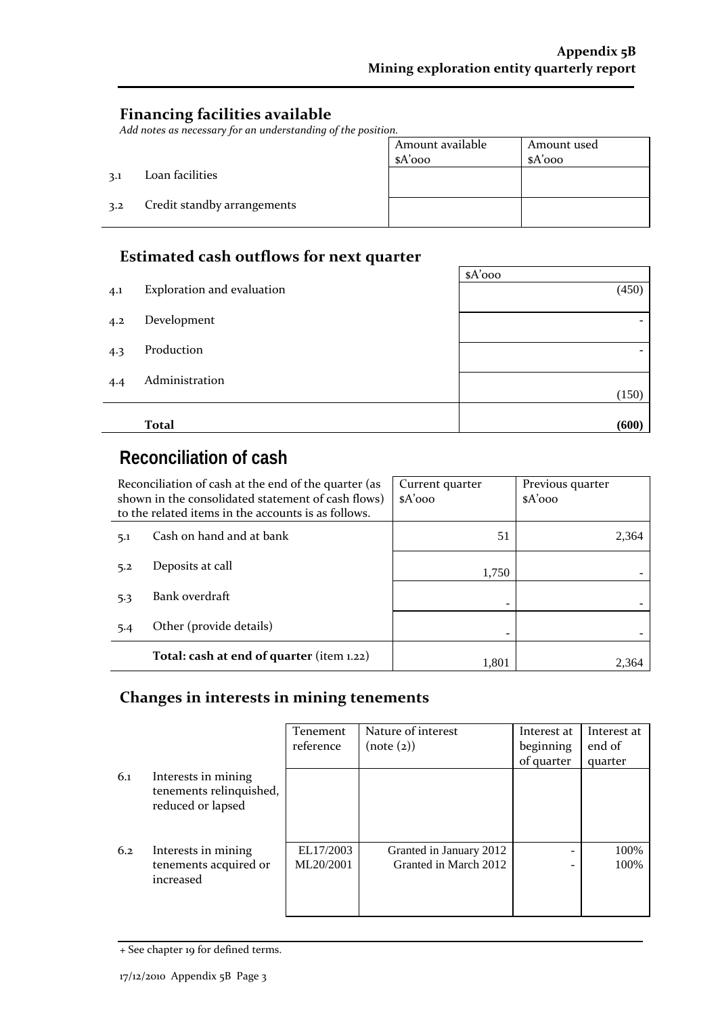## **Financing facilities available**

*Add notes as necessary for an understanding of the position.*

| <i>auvon.</i> |                  |             |
|---------------|------------------|-------------|
|               | Amount available | Amount used |
|               | $A'$ 000         | $A'$ ooo    |
|               |                  |             |
|               |                  |             |
|               |                  |             |
|               |                  |             |
|               |                  |             |
|               |                  |             |

# 3.2 Credit standby arrangements

3.1 Loan facilities

J.

#### **Estimated cash outflows for next quarter**

|     |                            | $A'$ 000                 |
|-----|----------------------------|--------------------------|
| 4.1 | Exploration and evaluation | (450)                    |
| 4.2 | Development                |                          |
| 4.3 | Production                 | $\overline{\phantom{0}}$ |
| 4.4 | Administration             | (150)                    |
|     |                            |                          |
|     | <b>Total</b>               | (600)                    |

# **Reconciliation of cash**

| Reconciliation of cash at the end of the quarter (as<br>shown in the consolidated statement of cash flows)<br>to the related items in the accounts is as follows. |                                           | Current quarter<br>$A'$ 000 | Previous quarter<br>$A'$ 000 |
|-------------------------------------------------------------------------------------------------------------------------------------------------------------------|-------------------------------------------|-----------------------------|------------------------------|
| 5.1                                                                                                                                                               | Cash on hand and at bank                  | 51                          | 2,364                        |
| 5.2                                                                                                                                                               | Deposits at call                          | 1,750                       |                              |
| 5.3                                                                                                                                                               | Bank overdraft                            |                             |                              |
| 5.4                                                                                                                                                               | Other (provide details)                   |                             |                              |
|                                                                                                                                                                   | Total: cash at end of quarter (item 1.22) | 1.801                       | 2.364                        |

# **Changes in interests in mining tenements**

|     |                                                                     | <b>Tenement</b><br>reference | Nature of interest<br>(note (2))                 | Interest at<br>beginning<br>of quarter | Interest at<br>end of<br>quarter |
|-----|---------------------------------------------------------------------|------------------------------|--------------------------------------------------|----------------------------------------|----------------------------------|
| 6.1 | Interests in mining<br>tenements relinquished,<br>reduced or lapsed |                              |                                                  |                                        |                                  |
| 6.2 | Interests in mining<br>tenements acquired or<br>increased           | EL17/2003<br>ML20/2001       | Granted in January 2012<br>Granted in March 2012 |                                        | 100%<br>100%                     |

<sup>+</sup> See chapter 19 for defined terms.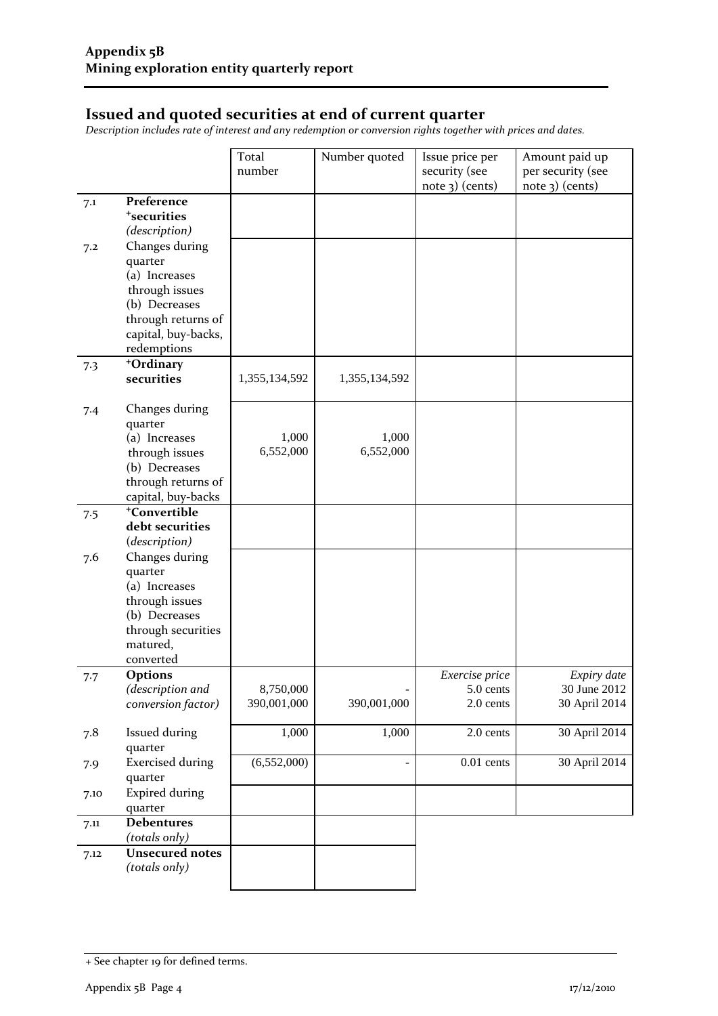#### **Issued and quoted securities at end of current quarter**

*Description includes rate of interest and any redemption or conversion rights together with prices and dates.*

|      |                                    | Total         | Number quoted  | Issue price per             | Amount paid up              |
|------|------------------------------------|---------------|----------------|-----------------------------|-----------------------------|
|      |                                    | number        |                | security (see               | per security (see           |
|      |                                    |               |                | $note$ 3) (cents)           | note 3) (cents)             |
| 7.1  | Preference                         |               |                |                             |                             |
|      | <sup>+</sup> securities            |               |                |                             |                             |
|      | (description)                      |               |                |                             |                             |
| 7.2  | Changes during                     |               |                |                             |                             |
|      | quarter                            |               |                |                             |                             |
|      | (a) Increases                      |               |                |                             |                             |
|      | through issues                     |               |                |                             |                             |
|      | (b) Decreases                      |               |                |                             |                             |
|      | through returns of                 |               |                |                             |                             |
|      | capital, buy-backs,                |               |                |                             |                             |
|      | redemptions                        |               |                |                             |                             |
| 7.3  | +Ordinary<br>securities            | 1,355,134,592 | 1,355,134,592  |                             |                             |
|      |                                    |               |                |                             |                             |
|      | Changes during                     |               |                |                             |                             |
| 7.4  | quarter                            |               |                |                             |                             |
|      | (a) Increases                      | 1,000         | 1,000          |                             |                             |
|      | through issues                     | 6,552,000     | 6,552,000      |                             |                             |
|      | (b) Decreases                      |               |                |                             |                             |
|      | through returns of                 |               |                |                             |                             |
|      | capital, buy-backs                 |               |                |                             |                             |
| 7.5  | <sup>+</sup> Convertible           |               |                |                             |                             |
|      | debt securities                    |               |                |                             |                             |
|      | (description)                      |               |                |                             |                             |
| 7.6  | Changes during                     |               |                |                             |                             |
|      | quarter                            |               |                |                             |                             |
|      | (a) Increases                      |               |                |                             |                             |
|      | through issues                     |               |                |                             |                             |
|      | (b) Decreases                      |               |                |                             |                             |
|      | through securities                 |               |                |                             |                             |
|      | matured,                           |               |                |                             |                             |
|      | converted                          |               |                |                             |                             |
| 7.7  | <b>Options</b><br>(description and | 8,750,000     |                | Exercise price<br>5.0 cents | Expiry date<br>30 June 2012 |
|      | conversion factor)                 | 390,001,000   | 390,001,000    | 2.0 cents                   | 30 April 2014               |
|      |                                    |               |                |                             |                             |
| 7.8  | Issued during                      | 1,000         | 1,000          | 2.0 cents                   | 30 April 2014               |
|      | quarter                            |               |                |                             |                             |
| 7.9  | <b>Exercised during</b>            | (6,552,000)   | $\blacksquare$ | $0.01$ cents                | 30 April 2014               |
|      | quarter                            |               |                |                             |                             |
| 7.10 | <b>Expired during</b>              |               |                |                             |                             |
|      | quarter                            |               |                |                             |                             |
| 7.11 | <b>Debentures</b>                  |               |                |                             |                             |
|      | (totals only)                      |               |                |                             |                             |
| 7.12 | Unsecured notes                    |               |                |                             |                             |
|      | (totals only)                      |               |                |                             |                             |
|      |                                    |               |                |                             |                             |

<sup>+</sup> See chapter 19 for defined terms.